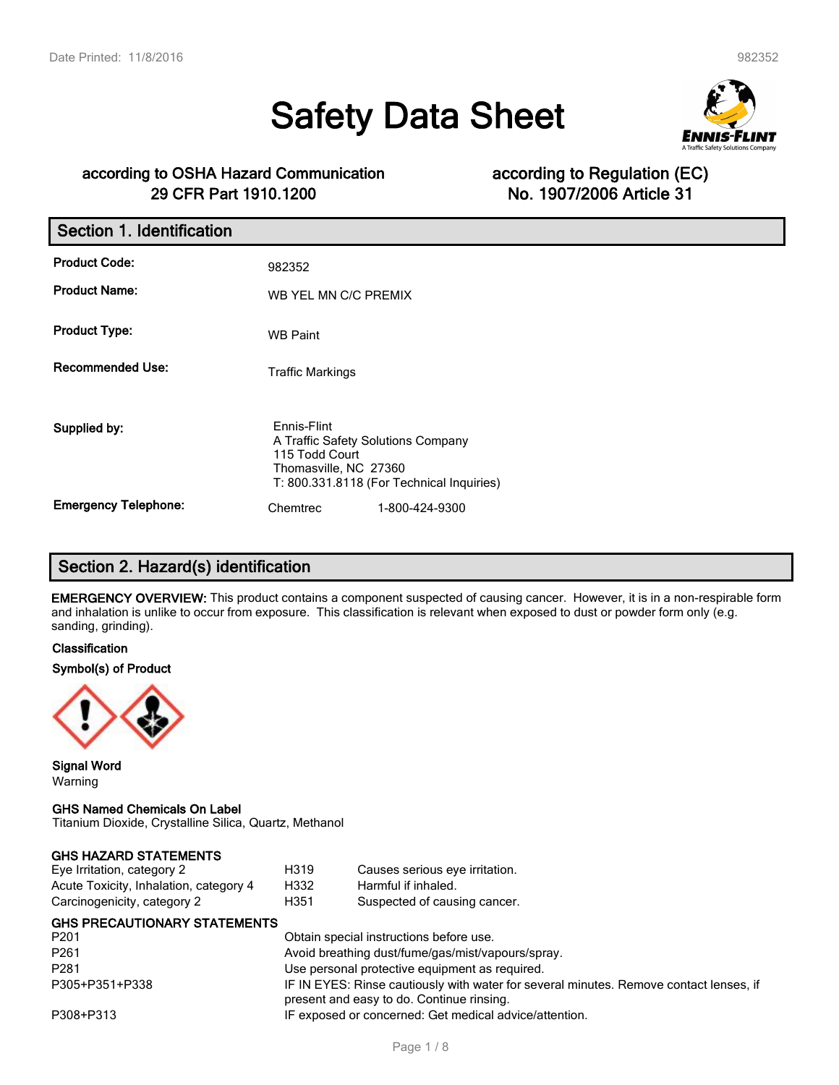# **Safety Data Sheet**



### **according to OSHA Hazard Communication according to Regulation (EC) 29 CFR Part 1910.1200 No. 1907/2006 Article 31**

| Section 1. Identification   |                                                                                              |                                           |
|-----------------------------|----------------------------------------------------------------------------------------------|-------------------------------------------|
| <b>Product Code:</b>        | 982352                                                                                       |                                           |
| <b>Product Name:</b>        | WB YEL MN C/C PREMIX                                                                         |                                           |
| <b>Product Type:</b>        | <b>WB Paint</b>                                                                              |                                           |
| <b>Recommended Use:</b>     | <b>Traffic Markings</b>                                                                      |                                           |
| Supplied by:                | Ennis-Flint<br>A Traffic Safety Solutions Company<br>115 Todd Court<br>Thomasville, NC 27360 | T: 800.331.8118 (For Technical Inquiries) |
| <b>Emergency Telephone:</b> | Chemtrec                                                                                     | 1-800-424-9300                            |

### **Section 2. Hazard(s) identification**

**EMERGENCY OVERVIEW:** This product contains a component suspected of causing cancer. However, it is in a non-respirable form and inhalation is unlike to occur from exposure. This classification is relevant when exposed to dust or powder form only (e.g. sanding, grinding).

#### **Classification**

#### **Symbol(s) of Product**



**Signal Word** Warning

#### **GHS Named Chemicals On Label**

Titanium Dioxide, Crystalline Silica, Quartz, Methanol

| <b>GHS HAZARD STATEMENTS</b>     |  |
|----------------------------------|--|
| $E_{10}$ Irritation optopone $2$ |  |

| Eye Irritation, category 2             | H319                                                                                                                                | Causes serious eye irritation.                         |  |
|----------------------------------------|-------------------------------------------------------------------------------------------------------------------------------------|--------------------------------------------------------|--|
| Acute Toxicity, Inhalation, category 4 | H332                                                                                                                                | Harmful if inhaled.                                    |  |
| Carcinogenicity, category 2            | H351                                                                                                                                | Suspected of causing cancer.                           |  |
| <b>GHS PRECAUTIONARY STATEMENTS</b>    |                                                                                                                                     |                                                        |  |
| P <sub>201</sub>                       | Obtain special instructions before use.                                                                                             |                                                        |  |
| P <sub>261</sub>                       | Avoid breathing dust/fume/gas/mist/vapours/spray.                                                                                   |                                                        |  |
| P <sub>281</sub>                       | Use personal protective equipment as required.                                                                                      |                                                        |  |
| P305+P351+P338                         | IF IN EYES: Rinse cautiously with water for several minutes. Remove contact lenses, if<br>present and easy to do. Continue rinsing. |                                                        |  |
| P308+P313                              |                                                                                                                                     | IF exposed or concerned: Get medical advice/attention. |  |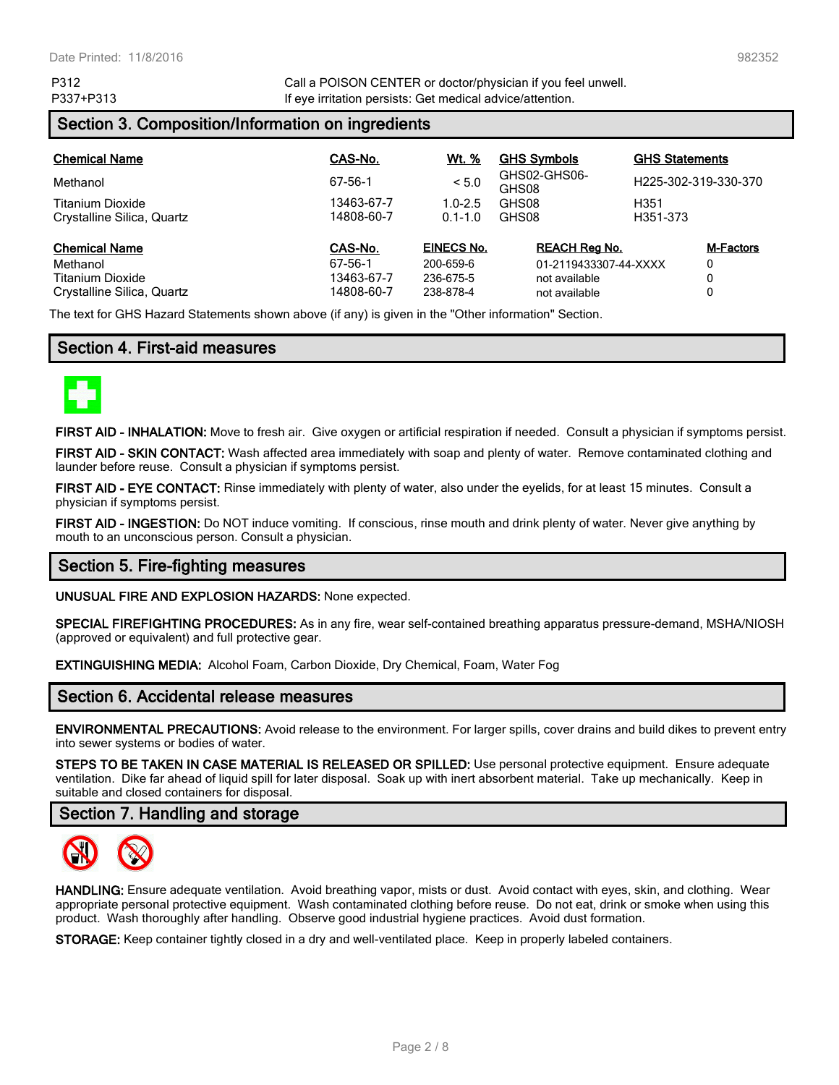P312 Call a POISON CENTER or doctor/physician if you feel unwell. P337+P313 **If eye irritation persists: Get medical advice/attention.** 

### **Section 3. Composition/Information on ingredients**

| <b>Chemical Name</b>       | CAS-No.    | <u>Wt. %</u>      | <b>GHS Symbols</b>    | <b>GHS Statements</b> |                  |
|----------------------------|------------|-------------------|-----------------------|-----------------------|------------------|
| Methanol                   | 67-56-1    | < 5.0             | GHS02-GHS06-<br>GHS08 | H225-302-319-330-370  |                  |
| Titanium Dioxide           | 13463-67-7 | $1.0 - 2.5$       | GHS08                 | H351                  |                  |
| Crystalline Silica, Quartz | 14808-60-7 | $0.1 - 1.0$       | GHS08                 | H351-373              |                  |
| <b>Chemical Name</b>       | CAS-No.    | <b>EINECS No.</b> | <b>REACH Rea No.</b>  |                       | <b>M-Factors</b> |
| Methanol                   | 67-56-1    | 200-659-6         | 01-2119433307-44-XXXX |                       | 0                |
| Titanium Dioxide           | 13463-67-7 | 236-675-5         | not available         | 0                     |                  |
| Crystalline Silica, Quartz | 14808-60-7 | 238-878-4         | not available         |                       | 0                |

The text for GHS Hazard Statements shown above (if any) is given in the "Other information" Section.

#### **Section 4. First-aid measures**



**FIRST AID - INHALATION:** Move to fresh air. Give oxygen or artificial respiration if needed. Consult a physician if symptoms persist.

**FIRST AID - SKIN CONTACT:** Wash affected area immediately with soap and plenty of water. Remove contaminated clothing and launder before reuse. Consult a physician if symptoms persist.

**FIRST AID - EYE CONTACT:** Rinse immediately with plenty of water, also under the eyelids, for at least 15 minutes. Consult a physician if symptoms persist.

**FIRST AID - INGESTION:** Do NOT induce vomiting. If conscious, rinse mouth and drink plenty of water. Never give anything by mouth to an unconscious person. Consult a physician.

#### **Section 5. Fire-fighting measures**

**UNUSUAL FIRE AND EXPLOSION HAZARDS:** None expected.

**SPECIAL FIREFIGHTING PROCEDURES:** As in any fire, wear self-contained breathing apparatus pressure-demand, MSHA/NIOSH (approved or equivalent) and full protective gear.

**EXTINGUISHING MEDIA:** Alcohol Foam, Carbon Dioxide, Dry Chemical, Foam, Water Fog

#### **Section 6. Accidental release measures**

**ENVIRONMENTAL PRECAUTIONS:** Avoid release to the environment. For larger spills, cover drains and build dikes to prevent entry into sewer systems or bodies of water.

**STEPS TO BE TAKEN IN CASE MATERIAL IS RELEASED OR SPILLED:** Use personal protective equipment. Ensure adequate ventilation. Dike far ahead of liquid spill for later disposal. Soak up with inert absorbent material. Take up mechanically. Keep in suitable and closed containers for disposal.

#### **Section 7. Handling and storage**



**HANDLING:** Ensure adequate ventilation. Avoid breathing vapor, mists or dust. Avoid contact with eyes, skin, and clothing. Wear appropriate personal protective equipment. Wash contaminated clothing before reuse. Do not eat, drink or smoke when using this product. Wash thoroughly after handling. Observe good industrial hygiene practices. Avoid dust formation.

**STORAGE:** Keep container tightly closed in a dry and well-ventilated place. Keep in properly labeled containers.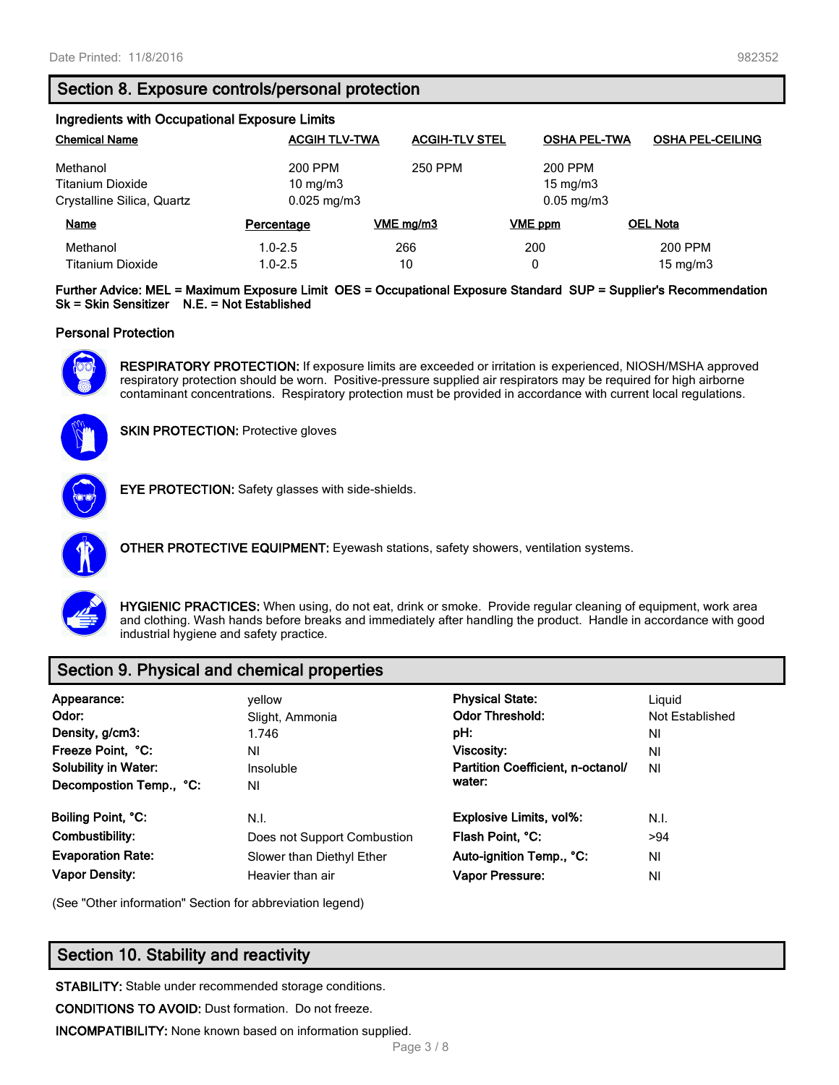#### **Section 8. Exposure controls/personal protection**

| Ingredients with Occupational Exposure Limits |                        |                       |                         |                         |  |
|-----------------------------------------------|------------------------|-----------------------|-------------------------|-------------------------|--|
| <b>Chemical Name</b>                          | <b>ACGIH TLV-TWA</b>   | <b>ACGIH-TLV STEL</b> | <b>OSHA PEL-TWA</b>     | <b>OSHA PEL-CEILING</b> |  |
| Methanol                                      | 200 PPM                | 250 PPM               | 200 PPM                 |                         |  |
| <b>Titanium Dioxide</b>                       | 10 mg/m $3$            |                       |                         | $15 \text{ mg/m}$       |  |
| Crystalline Silica, Quartz                    | $0.025 \text{ mg/m}$ 3 |                       | $0.05 \,\mathrm{mg/m3}$ |                         |  |
| <b>Name</b>                                   | Percentage             | VME mg/m3             | <b>VME</b> ppm          | <b>OEL Nota</b>         |  |
| Methanol                                      | $1.0 - 2.5$            | 266                   | 200                     | 200 PPM                 |  |
| <b>Titanium Dioxide</b>                       | $1.0 - 2.5$            | 10                    | 0                       | 15 mg/m $3$             |  |

**Further Advice: MEL = Maximum Exposure Limit OES = Occupational Exposure Standard SUP = Supplier's Recommendation Sk = Skin Sensitizer N.E. = Not Established**

#### **Personal Protection**



**RESPIRATORY PROTECTION:** If exposure limits are exceeded or irritation is experienced, NIOSH/MSHA approved respiratory protection should be worn. Positive-pressure supplied air respirators may be required for high airborne contaminant concentrations. Respiratory protection must be provided in accordance with current local regulations.



**SKIN PROTECTION: Protective gloves** 



**EYE PROTECTION:** Safety glasses with side-shields.



**OTHER PROTECTIVE EQUIPMENT:** Eyewash stations, safety showers, ventilation systems.



**HYGIENIC PRACTICES:** When using, do not eat, drink or smoke. Provide regular cleaning of equipment, work area and clothing. Wash hands before breaks and immediately after handling the product. Handle in accordance with good industrial hygiene and safety practice.

### **Section 9. Physical and chemical properties**

| Appearance:<br>Odor:<br>Density, g/cm3:<br>Freeze Point, °C:<br><b>Solubility in Water:</b><br>Decompostion Temp., °C: | vellow<br>Slight, Ammonia<br>1.746<br>ΝI<br>Insoluble<br>ΝI | <b>Physical State:</b><br><b>Odor Threshold:</b><br>pH:<br>Viscosity:<br>Partition Coefficient, n-octanol/<br>water: | Liguid<br>Not Established<br>ΝI<br>ΝI<br>NI |
|------------------------------------------------------------------------------------------------------------------------|-------------------------------------------------------------|----------------------------------------------------------------------------------------------------------------------|---------------------------------------------|
| Boiling Point, °C:                                                                                                     | N.I.                                                        | <b>Explosive Limits, vol%:</b>                                                                                       | N.I.                                        |
| Combustibility:                                                                                                        | Does not Support Combustion                                 | Flash Point, °C:                                                                                                     | >94                                         |
| <b>Evaporation Rate:</b>                                                                                               | Slower than Diethyl Ether                                   | Auto-ignition Temp., °C:                                                                                             | ΝI                                          |
| <b>Vapor Density:</b>                                                                                                  | Heavier than air                                            | Vapor Pressure:                                                                                                      | ΝI                                          |

(See "Other information" Section for abbreviation legend)

### **Section 10. Stability and reactivity**

**STABILITY:** Stable under recommended storage conditions.

**CONDITIONS TO AVOID:** Dust formation. Do not freeze.

**INCOMPATIBILITY:** None known based on information supplied.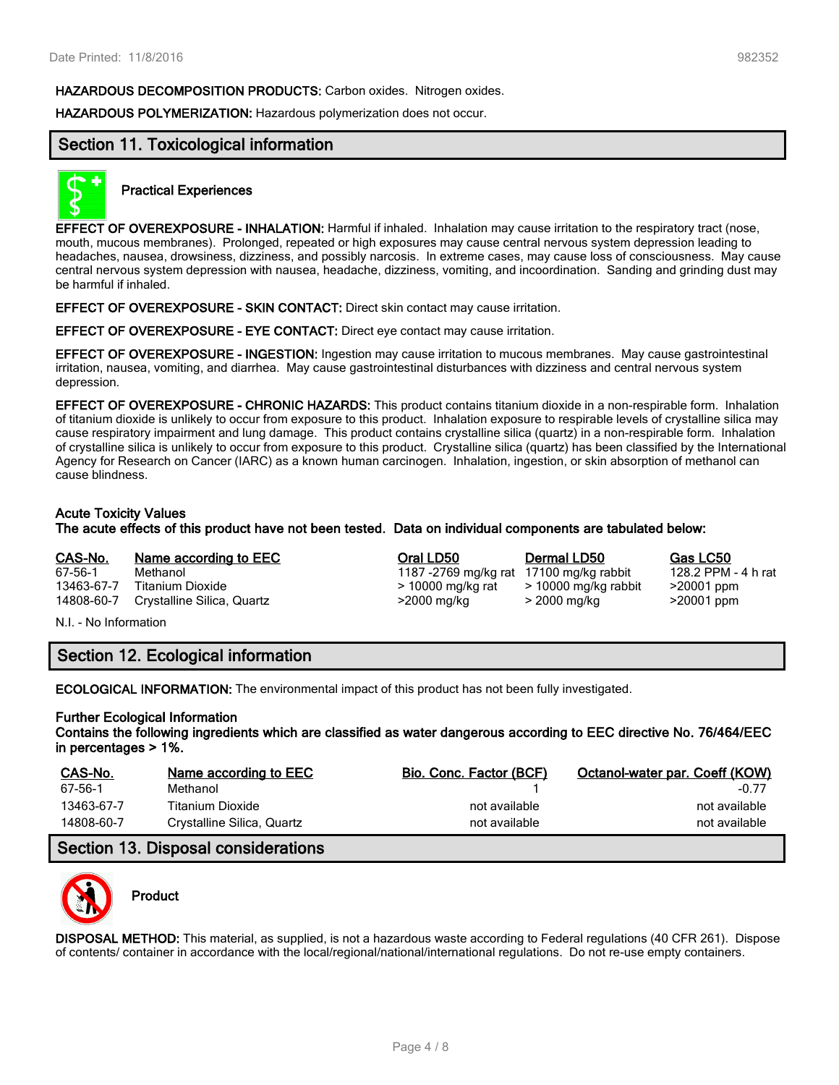**HAZARDOUS DECOMPOSITION PRODUCTS:** Carbon oxides. Nitrogen oxides.

**HAZARDOUS POLYMERIZATION:** Hazardous polymerization does not occur.

#### **Section 11. Toxicological information**



#### **Practical Experiences**

**EFFECT OF OVEREXPOSURE - INHALATION:** Harmful if inhaled. Inhalation may cause irritation to the respiratory tract (nose, mouth, mucous membranes). Prolonged, repeated or high exposures may cause central nervous system depression leading to headaches, nausea, drowsiness, dizziness, and possibly narcosis. In extreme cases, may cause loss of consciousness. May cause central nervous system depression with nausea, headache, dizziness, vomiting, and incoordination. Sanding and grinding dust may be harmful if inhaled.

**EFFECT OF OVEREXPOSURE - SKIN CONTACT:** Direct skin contact may cause irritation.

**EFFECT OF OVEREXPOSURE - EYE CONTACT:** Direct eye contact may cause irritation.

**EFFECT OF OVEREXPOSURE - INGESTION:** Ingestion may cause irritation to mucous membranes. May cause gastrointestinal irritation, nausea, vomiting, and diarrhea. May cause gastrointestinal disturbances with dizziness and central nervous system depression.

**EFFECT OF OVEREXPOSURE - CHRONIC HAZARDS:** This product contains titanium dioxide in a non-respirable form. Inhalation of titanium dioxide is unlikely to occur from exposure to this product. Inhalation exposure to respirable levels of crystalline silica may cause respiratory impairment and lung damage. This product contains crystalline silica (quartz) in a non-respirable form. Inhalation of crystalline silica is unlikely to occur from exposure to this product. Crystalline silica (quartz) has been classified by the International Agency for Research on Cancer (IARC) as a known human carcinogen. Inhalation, ingestion, or skin absorption of methanol can cause blindness.

#### **Acute Toxicity Values**

**The acute effects of this product have not been tested. Data on individual components are tabulated below:**

# **CAS-No. Name according to EEC Oral LD50 Dermal LD50 Gas LC50**

67-56-1 Methanol 1187 -2769 mg/kg rat 17100 mg/kg rabbit 128.2 PPM -<br>13463-67-7 Titanium Dioxide 1990 - 4 h rate 2000 mg/kg rat 10000 mg/kg rabbit 20001 ppm 14808-60-7 Crystalline Silica, Quartz >2000 mg/kg > 2000 mg/kg >20001 ppm

 $>$  10000 mg/kg rabbit

N.I. - No Information

### **Section 12. Ecological information**

**ECOLOGICAL INFORMATION:** The environmental impact of this product has not been fully investigated.

#### **Further Ecological Information**

**Contains the following ingredients which are classified as water dangerous according to EEC directive No. 76/464/EEC in percentages > 1%.**

| CAS-No.    | Name according to EEC      | Bio. Conc. Factor (BCF) | Octanol-water par. Coeff (KOW) |
|------------|----------------------------|-------------------------|--------------------------------|
| 67-56-1    | Methanol                   |                         | $-0.77$                        |
| 13463-67-7 | Titanium Dioxide           | not available           | not available                  |
| 14808-60-7 | Crystalline Silica, Quartz | not available           | not available                  |

#### **Section 13. Disposal considerations**



### **Product**

**DISPOSAL METHOD:** This material, as supplied, is not a hazardous waste according to Federal regulations (40 CFR 261). Dispose of contents/ container in accordance with the local/regional/national/international regulations. Do not re-use empty containers.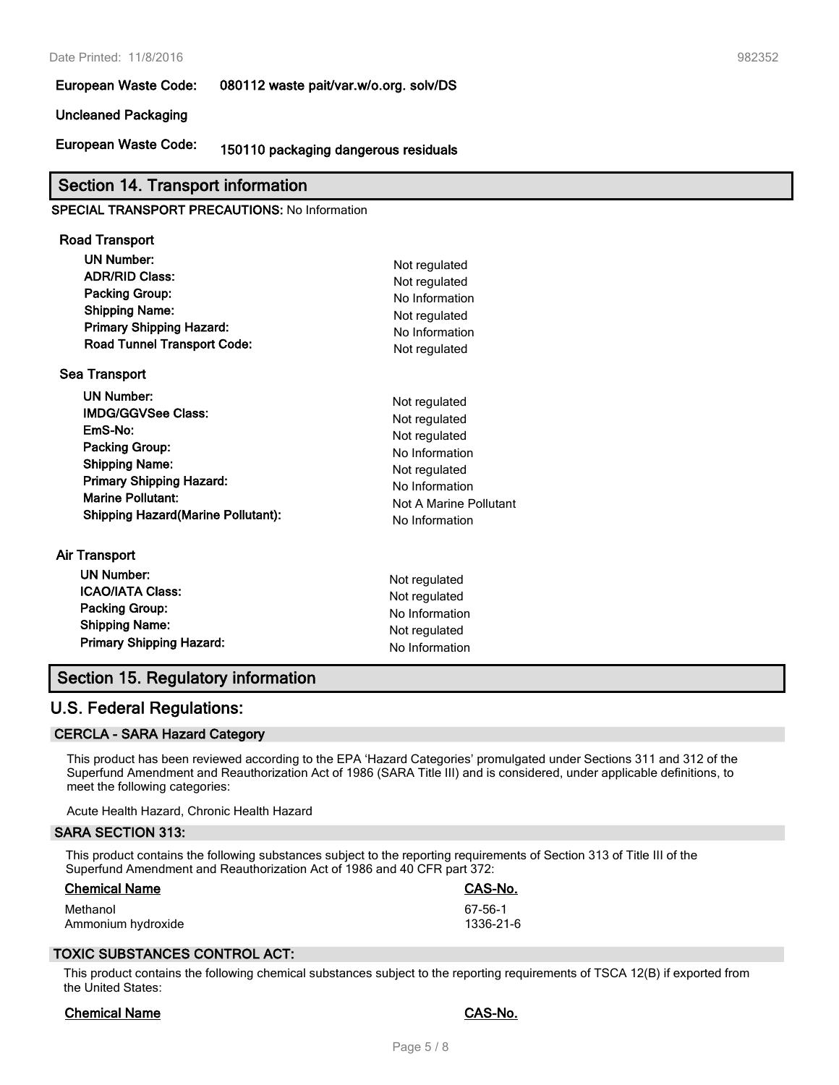**European Waste Code: 080112 waste pait/var.w/o.org. solv/DS**

#### **Uncleaned Packaging**

**European Waste Code: 150110 packaging dangerous residuals**

#### **Section 14. Transport information**

#### **SPECIAL TRANSPORT PRECAUTIONS:** No Information

## **Road Transport**

| UN Number:<br><b>ADR/RID Class:</b><br><b>Packing Group:</b><br><b>Shipping Name:</b><br><b>Primary Shipping Hazard:</b><br><b>Road Tunnel Transport Code:</b><br><b>Sea Transport</b>                                   | Not regulated<br>Not regulated<br>No Information<br>Not regulated<br>No Information<br>Not regulated                                             |
|--------------------------------------------------------------------------------------------------------------------------------------------------------------------------------------------------------------------------|--------------------------------------------------------------------------------------------------------------------------------------------------|
| <b>UN Number:</b><br><b>IMDG/GGVSee Class:</b><br>EmS-No:<br><b>Packing Group:</b><br><b>Shipping Name:</b><br><b>Primary Shipping Hazard:</b><br><b>Marine Pollutant:</b><br><b>Shipping Hazard (Marine Pollutant):</b> | Not regulated<br>Not regulated<br>Not regulated<br>No Information<br>Not regulated<br>No Information<br>Not A Marine Pollutant<br>No Information |
| Air Transport<br><b>UN Number:</b><br><b>ICAO/IATA Class:</b><br><b>Packing Group:</b><br><b>Shipping Name:</b>                                                                                                          | Not regulated<br>Not regulated<br>No Information<br>Not regulated                                                                                |

**Primary Shipping Hazard:** No Information

#### **Section 15. Regulatory information**

#### **U.S. Federal Regulations:**

#### **CERCLA - SARA Hazard Category**

This product has been reviewed according to the EPA 'Hazard Categories' promulgated under Sections 311 and 312 of the Superfund Amendment and Reauthorization Act of 1986 (SARA Title III) and is considered, under applicable definitions, to meet the following categories:

Acute Health Hazard, Chronic Health Hazard

#### **SARA SECTION 313:**

This product contains the following substances subject to the reporting requirements of Section 313 of Title III of the Superfund Amendment and Reauthorization Act of 1986 and 40 CFR part 372:

| <b>Chemical Name</b> | CAS-No.   |
|----------------------|-----------|
| Methanol             | 67-56-1   |
| Ammonium hydroxide   | 1336-21-6 |

#### **TOXIC SUBSTANCES CONTROL ACT:**

This product contains the following chemical substances subject to the reporting requirements of TSCA 12(B) if exported from the United States:

#### **Chemical Name CAS-No.**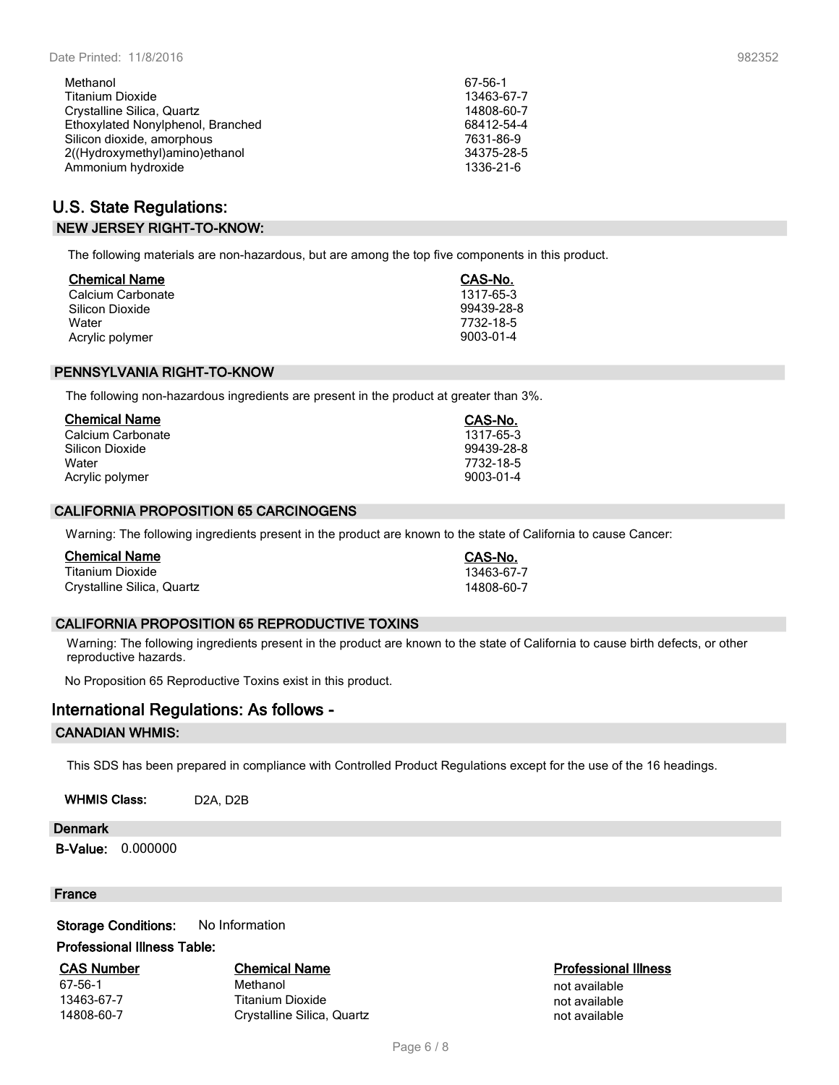| Methanol                          | 67-56-1    |
|-----------------------------------|------------|
| <b>Titanium Dioxide</b>           | 13463-67-7 |
| Crystalline Silica, Quartz        | 14808-60-7 |
| Ethoxylated Nonylphenol, Branched | 68412-54-4 |
| Silicon dioxide, amorphous        | 7631-86-9  |
| 2((Hydroxymethyl)amino)ethanol    | 34375-28-5 |
| Ammonium hydroxide                | 1336-21-6  |

#### **U.S. State Regulations: NEW JERSEY RIGHT-TO-KNOW:**

The following materials are non-hazardous, but are among the top five components in this product.

| <b>Chemical Name</b> | CAS-No.    |
|----------------------|------------|
| Calcium Carbonate    | 1317-65-3  |
| Silicon Dioxide      | 99439-28-8 |
| Water                | 7732-18-5  |
| Acrylic polymer      | 9003-01-4  |

#### **PENNSYLVANIA RIGHT-TO-KNOW**

The following non-hazardous ingredients are present in the product at greater than 3%.

| <b>Chemical Name</b> | CAS-No.    |
|----------------------|------------|
| Calcium Carbonate    | 1317-65-3  |
| Silicon Dioxide      | 99439-28-8 |
| Water                | 7732-18-5  |
| Acrylic polymer      | 9003-01-4  |

#### **CALIFORNIA PROPOSITION 65 CARCINOGENS**

Warning: The following ingredients present in the product are known to the state of California to cause Cancer:

| <b>Chemical Name</b>       | CAS-No.    |
|----------------------------|------------|
| Titanium Dioxide           | 13463-67-7 |
| Crystalline Silica, Quartz | 14808-60-7 |

#### **CALIFORNIA PROPOSITION 65 REPRODUCTIVE TOXINS**

Warning: The following ingredients present in the product are known to the state of California to cause birth defects, or other reproductive hazards.

No Proposition 65 Reproductive Toxins exist in this product.

#### **International Regulations: As follows -**

#### **CANADIAN WHMIS:**

This SDS has been prepared in compliance with Controlled Product Regulations except for the use of the 16 headings.

WHMIS Class: D2A, D2B

#### **Denmark**

**B-Value:** 0.000000

#### **France**

**Storage Conditions:** No Information

#### **Professional Illness Table:**

**CAS Number Chemical Name Professional Illness** 67-56-1 Methanol not available 13463-67-7 Titanium Dioxide not available **1480** Crystalline Silica, Quartz not available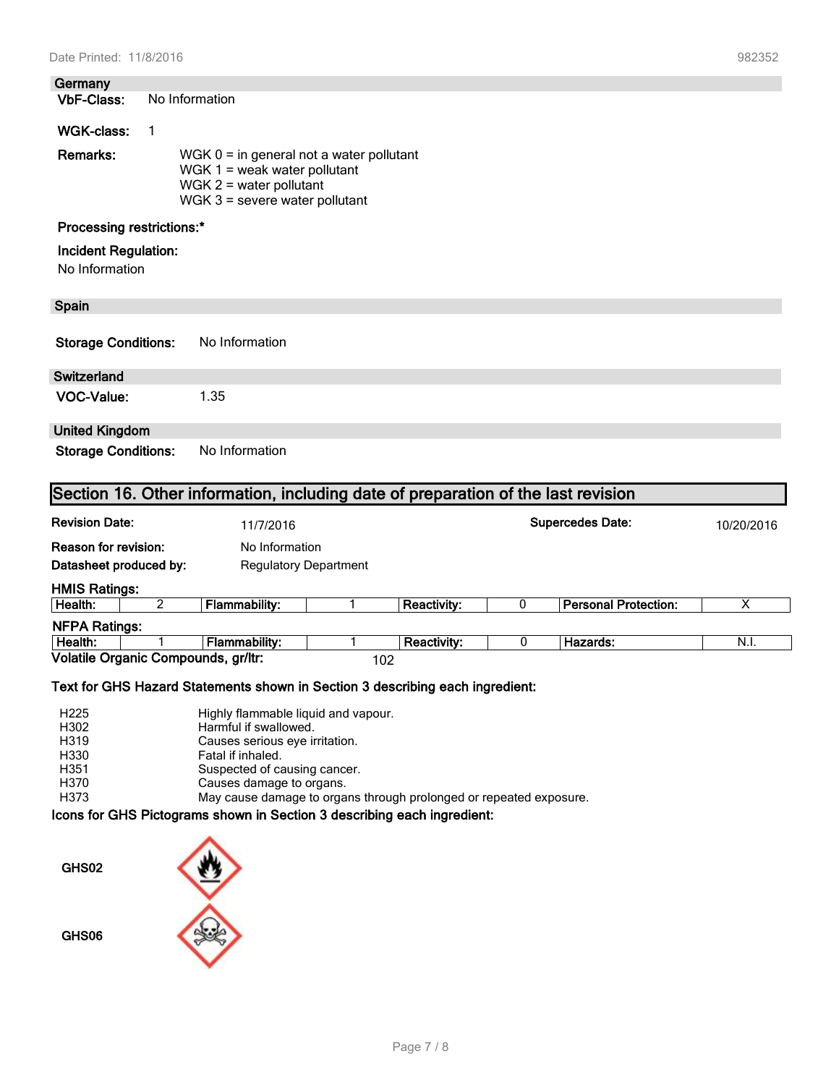**Germany No Information** 

#### **WGK-class:** 1

| <b>Remarks:</b> | WGK $0 =$ in general not a water pollutant |
|-----------------|--------------------------------------------|
|                 | WGK $1 =$ weak water pollutant             |
|                 | WGK $2$ = water pollutant                  |
|                 | WGK $3$ = severe water pollutant           |

#### **Processing restrictions:\***

#### **Incident Regulation:**

No Information

#### **Spain**

| <b>Storage Conditions:</b> | No Information |
|----------------------------|----------------|
|----------------------------|----------------|

#### **Switzerland**

**VOC-Value:** 1.35

#### **United Kingdom**

**Storage Conditions:** No Information

| <b>Revision Date:</b> |                                     | 11/7/2016                    |  |                    | <b>Supercedes Date:</b> |                             | 10/20/2016 |
|-----------------------|-------------------------------------|------------------------------|--|--------------------|-------------------------|-----------------------------|------------|
| Reason for revision:  |                                     | No Information               |  |                    |                         |                             |            |
|                       | Datasheet produced by:              | <b>Regulatory Department</b> |  |                    |                         |                             |            |
| <b>HMIS Ratings:</b>  |                                     |                              |  |                    |                         |                             |            |
| Health:               |                                     | Flammability:                |  | <b>Reactivity:</b> | 0                       | <b>Personal Protection:</b> | х          |
| <b>NFPA Ratings:</b>  |                                     |                              |  |                    |                         |                             |            |
| Health:               |                                     | <b>Flammability:</b>         |  | Reactivity:        | 0                       | Hazards:                    | N.I.       |
|                       | Volatile Organic Compounds, gr/ltr: |                              |  | 102                |                         |                             |            |

#### **Text for GHS Hazard Statements shown in Section 3 describing each ingredient:**

| H <sub>225</sub>  | Highly flammable liquid and vapour.                                |
|-------------------|--------------------------------------------------------------------|
| H302              | Harmful if swallowed.                                              |
| H <sub>3</sub> 19 | Causes serious eye irritation.                                     |
| H330              | Fatal if inhaled.                                                  |
| H351              | Suspected of causing cancer.                                       |
| H370              | Causes damage to organs.                                           |
| H373              | May cause damage to organs through prolonged or repeated exposure. |

#### **Icons for GHS Pictograms shown in Section 3 describing each ingredient:**